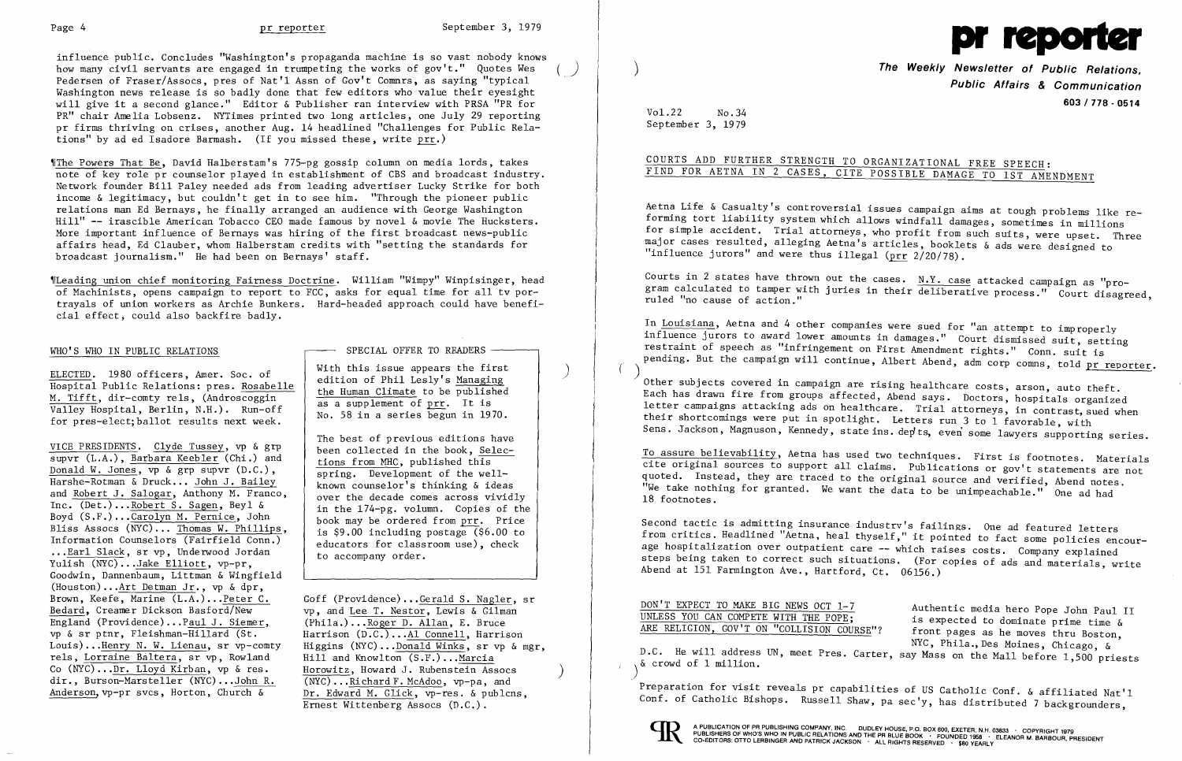influence public. Concludes "Washington's propaganda machine is so vast nobody knows how many civil servants are engaged in trumpeting the works of gov't." Quotes Wes Pedersen of Fraser/Assocs, pres of Nat'l Assn of Gov't Comnrs, as saying "typical Washington news release is so badly done that few editors who value their eyesight will give it a second glance." Editor & Publisher ran interview with PRSA "PR for PR" chair Amelia Lobsenz. NYTimes printed two long articles, one July 29 reporting pr firms thriving on crises, another Aug. 14 headlined "Challenges for Public Relations" by ad ed Isadore Barmash. (If you missed these, write  $prr.$ )

The Powers That Be, David Halberstam's 775-pg gossip column on media lords, takes note of key role pr counselor played in establishment of CBS and broadcast industry. Network founder Bill Paley needed ads from leading advertiser Lucky Strike for both income & legitimacy, but couldn't get in to see him. "Through the pioneer public relations man Ed Bernays, he finally arranged an audience with George Washington Hill" -- irascible American Tobacco CEO made famous by novel & movie The Hucksters. More important influence of Bernays was hiring of the first broadcast news-public affairs head, Ed Clauber, whom Halberstam credits with "setting the standards for broadcast journalism." He had been on Bernays' staff.

'ILeading union chief monitoring Fairness Doctrine. William "Wimpy" Winpisinger, head of Machinists, opens campaign to report to FCC, asks for equal time for all tv portrayals of union workers as Archie Bunkers. Hard-headed approach could have beneficial effect, could also backfire badly.

ELECTED. 1980 officers, Amer. Soc. of<br>
Hospital Public Relations: pres. Rosabelle<br>
M. Tifft, dir-comty rels, (Androscoggin<br>
Valley Hospital, Berlin, N.H.). Run-off<br>
for pres-elect; ballot results next week.<br>
No. 58 in a se

VICE PRESIDENTS. Clyde Tussey, vp & grp been collected in the book, Sel<br>supvr (L.A.), Barbara Keebler (Chi.) and tions from MHC, published this supvr (L.A.), <u>Barbara Keebler</u> (Chi.) and<br>
<u>Donald W. Jones</u>, vp & grp supvr (D.C.), spring. Development of the well-Donald W. Jones, vp & grp supvr (D.C.),<br>
Harshe-Rotman & Druck... John J. Bailey<br>
known counselor's thinking & ideas Harshe-Rotman & Druck... John J. Bailey and Robert J. Salogar, Anthony M. Franco,<br>Inc.  $(\text{Det.}) \dots \text{Robert S. Sagen}$ , Beyl & in the 174-pg. volumn. Copies of the Boyd  $(S.F.) \dots$ Carolyn M. Pernice, John book may be ordered from prr. Price<br>Bliss Assocs  $(NFC) \dots$  Thomas W. Phillips, is \$9.00 including postage (\$6.00 to Bliss Assocs (NYC)... Thomas W. Phillips,<br>Information Counselors (Fairfield Conn.)  $\begin{array}{c|c} \text{boson may be ordered from } \frac{P+1}{P-1} \text{ is 4.00} \\ \text{is 39.00 including postage (56.00 to  
educators for classroom use), check} \end{array}$ Information Counselors (Fairfield Conn.) educators for class<br>...<u>Earl Slack,</u> sr vp, Underwood Jordan to accompany order. Yulish (NYC) ...Jake Elliott, vp-pr, Goodwin, Dannenbaum, Littman & Wingfield (Houston)... $Art$  Detman Jr., vp & dpr,<br>Brown, Keefe, Marine (L.A.)...Peter C. Brown, Keefe, Marine  $(L.A.) \dots$  Peter C. Goff (Providence)... Gerald S. Nagler, sr Bedard, Creamer Dickson Basford/New  $v_p$ , and Lee T. Nestor, Lewis & Gilman Bedard, Creamer Dickson Basford/New vp, and Lee T. Nestor, Lewis & Gilman England (Providence)...Paul J. Siemer, (Phila.)...Roger D. Allan. E. Bruce England (Providence)...P<u>aul J. Siemer</u>, (Phila.)...Roger D. Allan, E. Bruce<br>vp & sr ptnr, Fleishman-Hillard (St. Harrison (D.C.)...Al Connell. Harris vp & sr ptnr, Fleishman-Hillard (St. Harrison (D.C.)...<u>Al Connell</u>, Harrison Louis)...Henry N. W. Lienau. sr vp-comty Higgins (NYC)...Donald Winks, sr vp & p rels, Lorraine Baltera, sr vp, Rowland Hill and Knowlton (S.F.)...Marcia<br>Co (NYC)...Dr. Lloyd Kirban, vp & res. Horowitz, Howard J. Rubenstein Assocs Co (NYC)... $Dr. Lloyd Kirban$ , vp & res. Horowitz, Howard J. Rubenstein Assocs dir., Burson-Marsteller (NYC)...John R. (NYC)...Richard F. McAdoo, vp-pa, and</u> dir., Burson-Marsteller (NYC)...John R.<br>Anderson, vp-pr svcs, Horton, Church &

WHO'S WHO IN PUBLIC RELATIONS  $\overline{S}$  ---- SPECIAL OFFER TO READERS

The best of previous editions have<br>been collected in the book, Selec-

Higgins (NYC)... Donald Winks, sr vp & mgr,<br>Hill and Knowlton  $(S.F.)$ ... Marcia Dr. Edward M. Glick, vp-res. & publcns, Ernest Wittenberg Assocs (D.C.).

Aetna Life & Casualty's controversial issues campaign aims at tough problems like re forming tort liability system which allows windfall damages, sometimes in millions Ī. for simple accident. Trial attorneys, who profit from such suits, were upset. Three major cases resulted, alleging Aetna's articles, booklets & ads were designed to Ī "influence jurors" and were thus illegal ( $\text{ptr}$  2/20/78).

Courts in 2 states have thrown out the cases.  $N.Y.$  case attacked campaign as "program calculated to tamper with juries in their deliberative process." Court disagreed, ruled "no cause of action."

In Louisiana, Aetna and 4 other companies were sued for "an attempt to improperly influence jurors to award lower amounts in damages." Court dismissed suit, setting restraint of speech as "infringement on First Amendment rights." Conn. suit is İ, pending. But the campaign will continue, Albert Abend, adm corp comns, told pr reporter.

Other subjects covered in campaign are rising healthcare costs, arson, auto theft. Each has drawn fire from groups affected, Abend says. Doctors, hospitals organized letter campaigns attacking ads on healthcare. Trial attorneys, in contrast, sued when their shortcomings were put in spotlight. Letters run 3 to 1 favorable, with Sens. Jackson, Magnuson, Kennedy, state ins. dep'ts, even some lawyers supporting series.

DON'T EXPECT TO MAKE BIG NEWS OCT 1-7<br>UNLESS YOU CAN COMPETE WITH THE POPE: is expected to dominate prime time for front pages as he moves thru Boston, NYC, Phila.,Des Moines, Chicago, &

UNLESS YOU CAN COMPETE WITH THE POPE; is expected to dominate prime time  $\&$  ARE RELIGION, GOV'T ON "COLLISION COURSE"? front pages as he moves thru Boston D.C. He will address UN, meet Pres. Carter, say Mass on the Mall before 1,500 priests & crowd of 1 million.

Preparation for visit reveals pr capabilities of US Catholic Conf. & affiliated Nat'l Conf. of Catholic Bishops. Russell Shaw, pa sec'y, has distributed 7 backgrounders,





) **The Weekly Newsletter of Public Relations, Public Affairs & Communication 603/778 - 0514** 

Vol.22 No.34 September 3, 1979

# COURTS ADD FURTHER STRENGTH TO ORGANIZATIONAL FREE SPEECH:

FIND FOR AETNA IN 2 CASES, CITE POSSIBLE DAMAGE TO 1ST AMENDMENT

To assure believability, Aetna has used two techniques. First is footnotes. Materials cite original sources to support all claims. Publications or gov't statements are not quoted. Instead, they are traced to the original source and verified, Abend notes. "We take nothing for granted. We want the data to be unimpeachable." One ad had 18 footnotes.

Second tactic is admitting insurance industrv's failings. One ad featured letters from critics. Headlined "Aetna, heal thyself," it pointed to fact some policies encourage hospitalization over outpatient care -- which raises costs. Company explained steps being taken to correct such situations. (For copies of ads and materials, write Abend at 151 Farmington Ave., Hartford, Ct. 06156.)